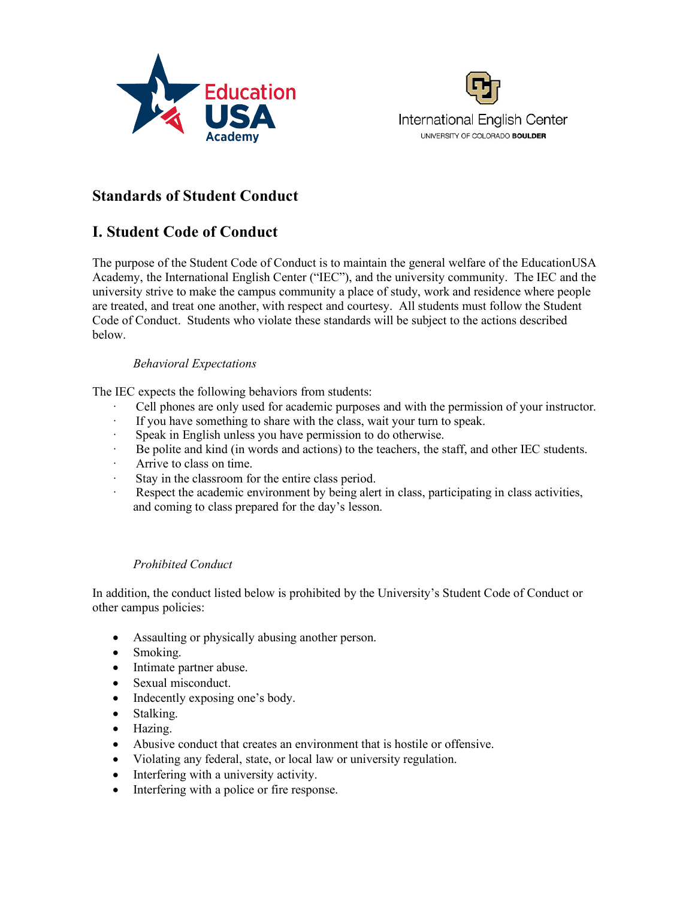



# **Standards of Student Conduct**

# **I. Student Code of Conduct**

The purpose of the Student Code of Conduct is to maintain the general welfare of the EducationUSA Academy, the International English Center ("IEC"), and the university community. The IEC and the university strive to make the campus community a place of study, work and residence where people are treated, and treat one another, with respect and courtesy. All students must follow the Student Code of Conduct. Students who violate these standards will be subject to the actions described below.

## *Behavioral Expectations*

The IEC expects the following behaviors from students:

- Cell phones are only used for academic purposes and with the permission of your instructor.
- · If you have something to share with the class, wait your turn to speak.
- · Speak in English unless you have permission to do otherwise.
- · Be polite and kind (in words and actions) to the teachers, the staff, and other IEC students.
- · Arrive to class on time.
- Stay in the classroom for the entire class period.
- Respect the academic environment by being alert in class, participating in class activities, and coming to class prepared for the day's lesson.

# *Prohibited Conduct*

In addition, the conduct listed below is prohibited by the University's Student Code of Conduct or other campus policies:

- Assaulting or physically abusing another person.
- Smoking.
- Intimate partner abuse.
- Sexual misconduct.
- Indecently exposing one's body.
- Stalking.
- Hazing.
- Abusive conduct that creates an environment that is hostile or offensive.
- Violating any federal, state, or local law or university regulation.
- Interfering with a university activity.
- Interfering with a police or fire response.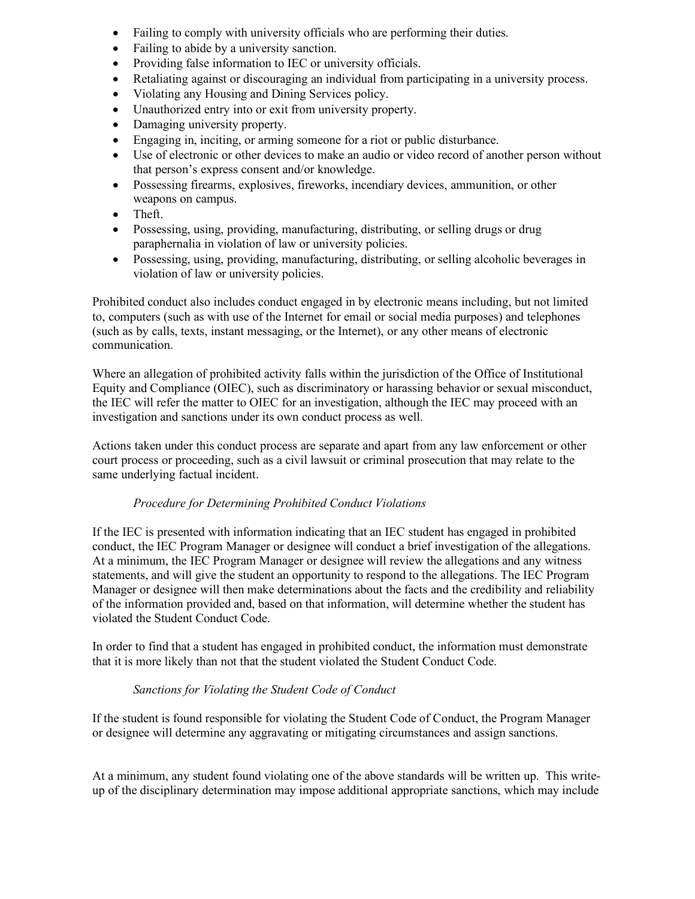- Failing to comply with university officials who are performing their duties.
- Failing to abide by a university sanction.
- Providing false information to IEC or university officials.
- Retaliating against or discouraging an individual from participating in a university process.
- Violating any Housing and Dining Services policy.
- Unauthorized entry into or exit from university property.
- Damaging university property.
- Engaging in, inciting, or arming someone for a riot or public disturbance.
- Use of electronic or other devices to make an audio or video record of another person without that person's express consent and/or knowledge.
- Possessing firearms, explosives, fireworks, incendiary devices, ammunition, or other weapons on campus.
- Theft.
- Possessing, using, providing, manufacturing, distributing, or selling drugs or drug paraphernalia in violation of law or university policies.
- Possessing, using, providing, manufacturing, distributing, or selling alcoholic beverages in violation of law or university policies.

Prohibited conduct also includes conduct engaged in by electronic means including, but not limited to, computers (such as with use of the Internet for email or social media purposes) and telephones (such as by calls, texts, instant messaging, or the Internet), or any other means of electronic communication.

Where an allegation of prohibited activity falls within the jurisdiction of the Office of Institutional Equity and Compliance (OIEC), such as discriminatory or harassing behavior or sexual misconduct, the IEC will refer the matter to OIEC for an investigation, although the IEC may proceed with an investigation and sanctions under its own conduct process as well.

Actions taken under this conduct process are separate and apart from any law enforcement or other court process or proceeding, such as a civil lawsuit or criminal prosecution that may relate to the same underlying factual incident.

#### *Procedure for Determining Prohibited Conduct Violations*

If the IEC is presented with information indicating that an IEC student has engaged in prohibited conduct, the IEC Program Manager or designee will conduct a brief investigation of the allegations. At a minimum, the IEC Program Manager or designee will review the allegations and any witness statements, and will give the student an opportunity to respond to the allegations. The IEC Program Manager or designee will then make determinations about the facts and the credibility and reliability of the information provided and, based on that information, will determine whether the student has violated the Student Conduct Code.

In order to find that a student has engaged in prohibited conduct, the information must demonstrate that it is more likely than not that the student violated the Student Conduct Code.

# *Sanctions for Violating the Student Code of Conduct*

If the student is found responsible for violating the Student Code of Conduct, the Program Manager or designee will determine any aggravating or mitigating circumstances and assign sanctions.

At a minimum, any student found violating one of the above standards will be written up. This writeup of the disciplinary determination may impose additional appropriate sanctions, which may include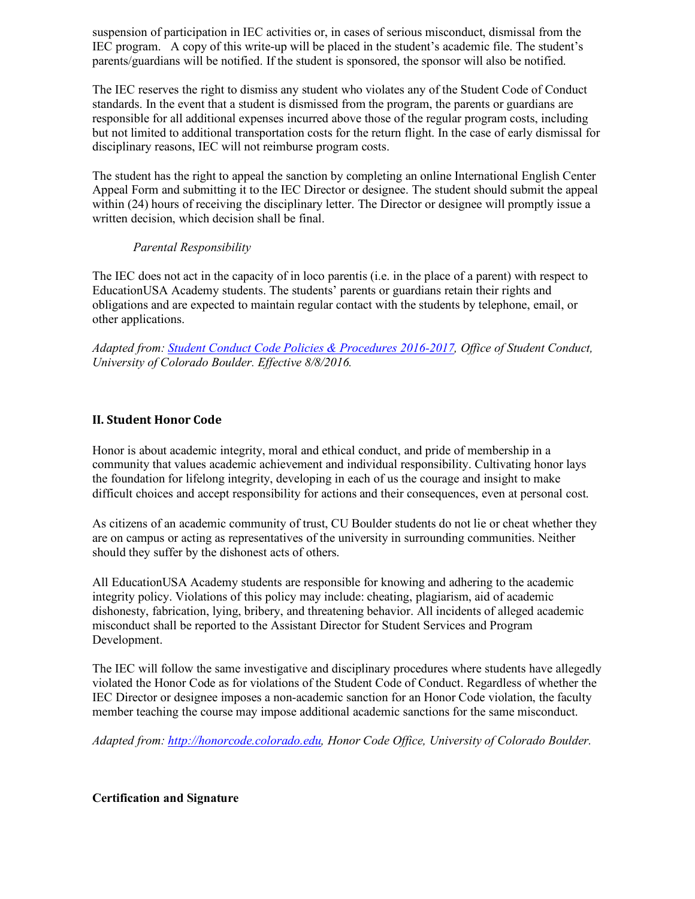suspension of participation in IEC activities or, in cases of serious misconduct, dismissal from the IEC program. A copy of this write-up will be placed in the student's academic file. The student's parents/guardians will be notified. If the student is sponsored, the sponsor will also be notified.

The IEC reserves the right to dismiss any student who violates any of the Student Code of Conduct standards. In the event that a student is dismissed from the program, the parents or guardians are responsible for all additional expenses incurred above those of the regular program costs, including but not limited to additional transportation costs for the return flight. In the case of early dismissal for disciplinary reasons, IEC will not reimburse program costs.

The student has the right to appeal the sanction by completing an online International English Center Appeal Form and submitting it to the IEC Director or designee. The student should submit the appeal within (24) hours of receiving the disciplinary letter. The Director or designee will promptly issue a written decision, which decision shall be final.

## *Parental Responsibility*

The IEC does not act in the capacity of in loco parentis (i.e. in the place of a parent) with respect to EducationUSA Academy students. The students' parents or guardians retain their rights and obligations and are expected to maintain regular contact with the students by telephone, email, or other applications.

*Adapted from: Student Conduct Code Policies & Procedures 2016-2017, Office of Student Conduct, University of Colorado Boulder. Effective 8/8/2016.*

## **II. Student Honor Code**

Honor is about academic integrity, moral and ethical conduct, and pride of membership in a community that values academic achievement and individual responsibility. Cultivating honor lays the foundation for lifelong integrity, developing in each of us the courage and insight to make difficult choices and accept responsibility for actions and their consequences, even at personal cost.

As citizens of an academic community of trust, CU Boulder students do not lie or cheat whether they are on campus or acting as representatives of the university in surrounding communities. Neither should they suffer by the dishonest acts of others.

All EducationUSA Academy students are responsible for knowing and adhering to the academic integrity policy. Violations of this policy may include: cheating, plagiarism, aid of academic dishonesty, fabrication, lying, bribery, and threatening behavior. All incidents of alleged academic misconduct shall be reported to the Assistant Director for Student Services and Program Development.

The IEC will follow the same investigative and disciplinary procedures where students have allegedly violated the Honor Code as for violations of the Student Code of Conduct. Regardless of whether the IEC Director or designee imposes a non-academic sanction for an Honor Code violation, the faculty member teaching the course may impose additional academic sanctions for the same misconduct.

*Adapted from: http://honorcode.colorado.edu, Honor Code Office, University of Colorado Boulder.* 

#### **Certification and Signature**